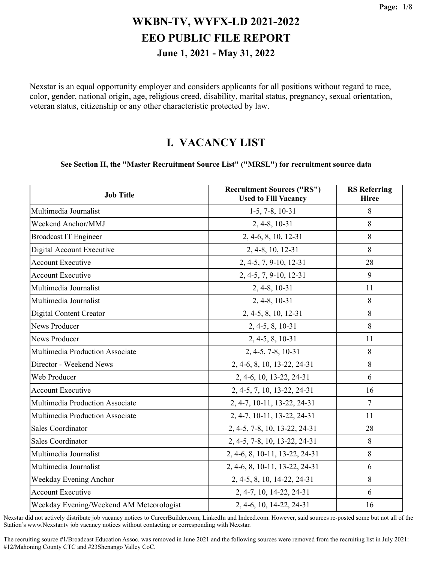Nexstar is an equal opportunity employer and considers applicants for all positions without regard to race, color, gender, national origin, age, religious creed, disability, marital status, pregnancy, sexual orientation, veteran status, citizenship or any other characteristic protected by law.

#### **I. VACANCY LIST**

#### **See Section II, the "Master Recruitment Source List" ("MRSL") for recruitment source data**

| <b>Job Title</b>                         | <b>Recruitment Sources ("RS")</b><br><b>Used to Fill Vacancy</b> | <b>RS</b> Referring<br><b>Hiree</b> |
|------------------------------------------|------------------------------------------------------------------|-------------------------------------|
| Multimedia Journalist                    | $1-5, 7-8, 10-31$                                                | 8                                   |
| Weekend Anchor/MMJ                       | 2, 4-8, 10-31                                                    | 8                                   |
| <b>Broadcast IT Engineer</b>             | 2, 4-6, 8, 10, 12-31                                             | 8                                   |
| Digital Account Executive                | 2, 4-8, 10, 12-31                                                | 8                                   |
| <b>Account Executive</b>                 | 2, 4-5, 7, 9-10, 12-31                                           | 28                                  |
| <b>Account Executive</b>                 | 2, 4-5, 7, 9-10, 12-31                                           | 9                                   |
| Multimedia Journalist                    | 2, 4-8, 10-31                                                    | 11                                  |
| Multimedia Journalist                    | 2, 4-8, 10-31                                                    | 8                                   |
| <b>Digital Content Creator</b>           | 2, 4-5, 8, 10, 12-31                                             | 8                                   |
| <b>News Producer</b>                     | 2, 4-5, 8, 10-31                                                 | 8                                   |
| News Producer                            | 2, 4-5, 8, 10-31                                                 | 11                                  |
| Multimedia Production Associate          | 2, 4-5, 7-8, 10-31                                               | 8                                   |
| Director - Weekend News                  | 2, 4-6, 8, 10, 13-22, 24-31                                      | 8                                   |
| Web Producer                             | 2, 4-6, 10, 13-22, 24-31                                         | 6                                   |
| <b>Account Executive</b>                 | 2, 4-5, 7, 10, 13-22, 24-31                                      | 16                                  |
| Multimedia Production Associate          | 2, 4-7, 10-11, 13-22, 24-31                                      | 7                                   |
| Multimedia Production Associate          | 2, 4-7, 10-11, 13-22, 24-31                                      | 11                                  |
| Sales Coordinator                        | 2, 4-5, 7-8, 10, 13-22, 24-31                                    | 28                                  |
| Sales Coordinator                        | 2, 4-5, 7-8, 10, 13-22, 24-31                                    | 8                                   |
| Multimedia Journalist                    | 2, 4-6, 8, 10-11, 13-22, 24-31                                   | 8                                   |
| Multimedia Journalist                    | 2, 4-6, 8, 10-11, 13-22, 24-31                                   | 6                                   |
| Weekday Evening Anchor                   | 2, 4-5, 8, 10, 14-22, 24-31                                      | 8                                   |
| <b>Account Executive</b>                 | 2, 4-7, 10, 14-22, 24-31                                         | 6                                   |
| Weekday Evening/Weekend AM Meteorologist | 2, 4-6, 10, 14-22, 24-31                                         | 16                                  |

Nexstar did not actively distribute job vacancy notices to CareerBuilder.com, LinkedIn and Indeed.com. However, said sources re-posted some but not all of the Station's www.Nexstar.tv job vacancy notices without contacting or corresponding with Nexstar.

The recruiting source #1/Broadcast Education Assoc. was removed in June 2021 and the following sources were removed from the recruiting list in July 2021: #12/Mahoning County CTC and #23Shenango Valley CoC.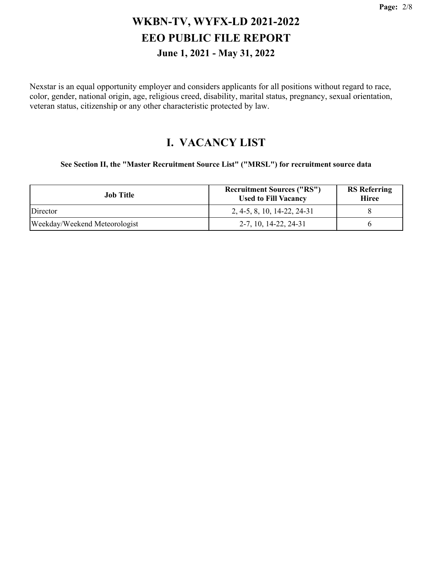Nexstar is an equal opportunity employer and considers applicants for all positions without regard to race, color, gender, national origin, age, religious creed, disability, marital status, pregnancy, sexual orientation, veteran status, citizenship or any other characteristic protected by law.

#### **I. VACANCY LIST**

**See Section II, the "Master Recruitment Source List" ("MRSL") for recruitment source data**

| Job Title                     | <b>Recruitment Sources ("RS")</b><br><b>Used to Fill Vacancy</b> | <b>RS</b> Referring<br><b>Hiree</b> |
|-------------------------------|------------------------------------------------------------------|-------------------------------------|
| Director                      | 2, 4-5, 8, 10, 14-22, 24-31                                      |                                     |
| Weekday/Weekend Meteorologist | 2-7, 10, 14-22, 24-31                                            |                                     |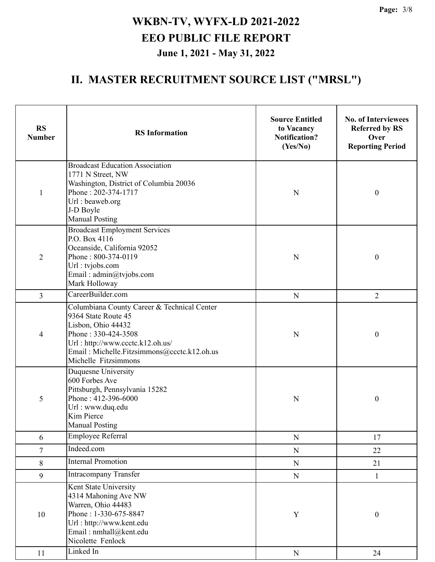| <b>RS</b><br><b>Number</b> | <b>RS</b> Information                                                                                                                                                                                                      | <b>Source Entitled</b><br>to Vacancy<br><b>Notification?</b><br>(Yes/No) | <b>No. of Interviewees</b><br><b>Referred by RS</b><br>Over<br><b>Reporting Period</b> |
|----------------------------|----------------------------------------------------------------------------------------------------------------------------------------------------------------------------------------------------------------------------|--------------------------------------------------------------------------|----------------------------------------------------------------------------------------|
| $\mathbf{1}$               | <b>Broadcast Education Association</b><br>1771 N Street, NW<br>Washington, District of Columbia 20036<br>Phone: 202-374-1717<br>Url: beaweb.org<br>J-D Boyle<br><b>Manual Posting</b>                                      | N                                                                        | $\boldsymbol{0}$                                                                       |
| $\overline{2}$             | <b>Broadcast Employment Services</b><br>P.O. Box 4116<br>Oceanside, California 92052<br>Phone: 800-374-0119<br>Url: tvjobs.com<br>Email: admin@tvjobs.com<br>Mark Holloway                                                 | $\mathbf N$                                                              | $\boldsymbol{0}$                                                                       |
| 3                          | CareerBuilder.com                                                                                                                                                                                                          | ${\bf N}$                                                                | $\overline{2}$                                                                         |
| 4                          | Columbiana County Career & Technical Center<br>9364 State Route 45<br>Lisbon, Ohio 44432<br>Phone: 330-424-3508<br>Url: http://www.ccctc.k12.oh.us/<br>Email: Michelle.Fitzsimmons@ccctc.k12.oh.us<br>Michelle Fitzsimmons | N                                                                        | $\boldsymbol{0}$                                                                       |
| 5                          | Duquesne University<br>600 Forbes Ave<br>Pittsburgh, Pennsylvania 15282<br>Phone: 412-396-6000<br>Url: www.duq.edu<br>Kim Pierce<br><b>Manual Posting</b>                                                                  | N                                                                        | $\boldsymbol{0}$                                                                       |
| 6                          | <b>Employee Referral</b>                                                                                                                                                                                                   | ${\bf N}$                                                                | 17                                                                                     |
| $\tau$                     | Indeed.com                                                                                                                                                                                                                 | ${\bf N}$                                                                | 22                                                                                     |
| $\,$ $\,$                  | <b>Internal Promotion</b>                                                                                                                                                                                                  | ${\bf N}$                                                                | 21                                                                                     |
| 9                          | Intracompany Transfer                                                                                                                                                                                                      | $\mathbf N$                                                              | $\mathbf{1}$                                                                           |
| 10                         | Kent State University<br>4314 Mahoning Ave NW<br>Warren, Ohio 44483<br>Phone: 1-330-675-8847<br>Url: http://www.kent.edu<br>Email: nmhall@kent.edu<br>Nicolette Fenlock                                                    | $\mathbf Y$                                                              | $\boldsymbol{0}$                                                                       |
| 11                         | Linked In                                                                                                                                                                                                                  | $\mathbf N$                                                              | 24                                                                                     |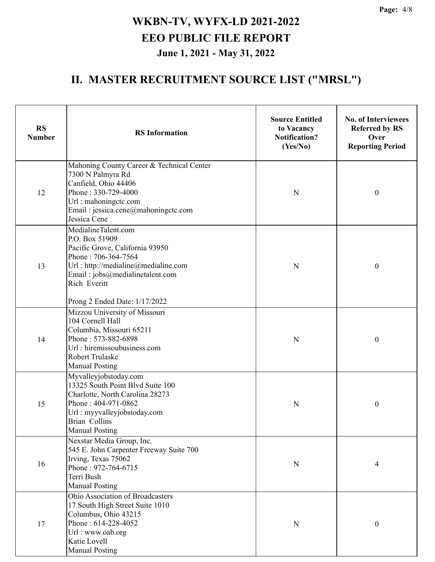| <b>RS</b><br><b>Number</b> | <b>RS</b> Information                                                                                                                                                                                                      | <b>Source Entitled</b><br>to Vacancy<br><b>Notification?</b><br>(Yes/No) | <b>No. of Interviewees</b><br><b>Referred by RS</b><br>Over<br><b>Reporting Period</b> |
|----------------------------|----------------------------------------------------------------------------------------------------------------------------------------------------------------------------------------------------------------------------|--------------------------------------------------------------------------|----------------------------------------------------------------------------------------|
| 12                         | Mahoning County Career & Technical Center<br>7300 N Palmyra Rd<br>Canfield, Ohio 44406<br>Phone: 330-729-4000<br>Url: mahoningctc.com<br>Email: jessica.cene@mahoningctc.com<br>Jessica Cene                               | $\mathbf N$                                                              | $\boldsymbol{0}$                                                                       |
| 13                         | MedialineTalent.com<br>P.O. Box 51909<br>Pacific Grove, California 93950<br>Phone: 706-364-7564<br>Url: http://medialine@medialine.com<br>Email: jobs@medialinetalent.com<br>Rich Everitt<br>Prong 2 Ended Date: 1/17/2022 | $\mathbf N$                                                              | $\boldsymbol{0}$                                                                       |
| 14                         | Mizzou University of Missouri<br>104 Cornell Hall<br>Columbia, Missouri 65211<br>Phone: 573-882-6898<br>Url: hiremissoubusiness.com<br><b>Robert Trulaske</b><br><b>Manual Posting</b>                                     | $\mathbf N$                                                              | $\boldsymbol{0}$                                                                       |
| 15                         | Myvalleyjobstoday.com<br>13325 South Point Blvd Suite 100<br>Charlotte, North Carolina 28273<br>Phone: 404-971-0862<br>Url: myyvalleyjobstoday.com<br>Brian Collins<br><b>Manual Posting</b>                               | N                                                                        | $\boldsymbol{0}$                                                                       |
| 16                         | Nexstar Media Group, Inc.<br>545 E. John Carpenter Freeway Suite 700<br>Irving, Texas 75062<br>Phone: 972-764-6715<br>Terri Bush<br><b>Manual Posting</b>                                                                  | ${\bf N}$                                                                | $\overline{4}$                                                                         |
| 17                         | Ohio Association of Broadcasters<br>17 South High Street Suite 1010<br>Columbus, Ohio 43215<br>Phone: 614-228-4052<br>Url: www.oab.org<br>Katie Lovell<br><b>Manual Posting</b>                                            | ${\bf N}$                                                                | 0                                                                                      |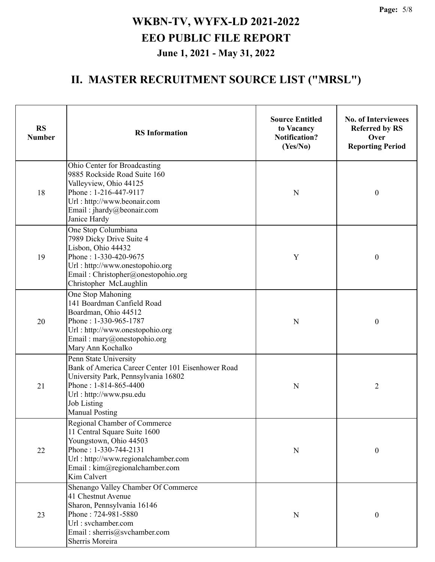| <b>RS</b><br><b>Number</b> | <b>RS</b> Information                                                                                                                                                                                                | <b>Source Entitled</b><br>to Vacancy<br><b>Notification?</b><br>(Yes/No) | <b>No. of Interviewees</b><br><b>Referred by RS</b><br>Over<br><b>Reporting Period</b> |
|----------------------------|----------------------------------------------------------------------------------------------------------------------------------------------------------------------------------------------------------------------|--------------------------------------------------------------------------|----------------------------------------------------------------------------------------|
| 18                         | Ohio Center for Broadcasting<br>9885 Rockside Road Suite 160<br>Valleyview, Ohio 44125<br>Phone: 1-216-447-9117<br>Url: http://www.beonair.com<br>Email: jhardy@beonair.com<br>Janice Hardy                          | $\mathbf N$                                                              | $\boldsymbol{0}$                                                                       |
| 19                         | One Stop Columbiana<br>7989 Dicky Drive Suite 4<br>Lisbon, Ohio 44432<br>Phone: 1-330-420-9675<br>Url: http://www.onestopohio.org<br>Email: Christopher@onestopohio.org<br>Christopher McLaughlin                    | Y                                                                        | $\boldsymbol{0}$                                                                       |
| 20                         | One Stop Mahoning<br>141 Boardman Canfield Road<br>Boardman, Ohio 44512<br>Phone: 1-330-965-1787<br>Url: http://www.onestopohio.org<br>Email: mary@onestopohio.org<br>Mary Ann Kochalko                              | ${\bf N}$                                                                | $\boldsymbol{0}$                                                                       |
| 21                         | Penn State University<br>Bank of America Career Center 101 Eisenhower Road<br>University Park, Pennsylvania 16802<br>Phone: 1-814-865-4400<br>Url: http://www.psu.edu<br><b>Job Listing</b><br><b>Manual Posting</b> | N                                                                        | $\overline{2}$                                                                         |
| 22                         | Regional Chamber of Commerce<br>11 Central Square Suite 1600<br>Youngstown, Ohio 44503<br>Phone: 1-330-744-2131<br>Url: http://www.regionalchamber.com<br>Email: kim@regionalchamber.com<br>Kim Calvert              | N                                                                        | $\boldsymbol{0}$                                                                       |
| 23                         | Shenango Valley Chamber Of Commerce<br>41 Chestnut Avenue<br>Sharon, Pennsylvania 16146<br>Phone: 724-981-5880<br>Url: svchamber.com<br>Email: sherris@svchamber.com<br>Sherris Moreira                              | ${\bf N}$                                                                | $\boldsymbol{0}$                                                                       |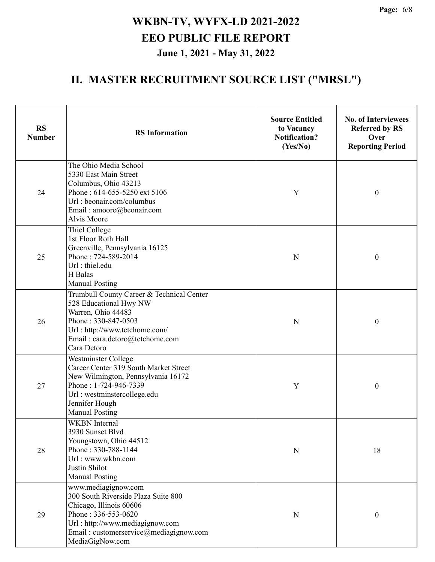| <b>RS</b><br><b>Number</b> | <b>RS</b> Information                                                                                                                                                                                        | <b>Source Entitled</b><br>to Vacancy<br><b>Notification?</b><br>(Yes/No) | <b>No. of Interviewees</b><br><b>Referred by RS</b><br>Over<br><b>Reporting Period</b> |
|----------------------------|--------------------------------------------------------------------------------------------------------------------------------------------------------------------------------------------------------------|--------------------------------------------------------------------------|----------------------------------------------------------------------------------------|
| 24                         | The Ohio Media School<br>5330 East Main Street<br>Columbus, Ohio 43213<br>Phone: 614-655-5250 ext 5106<br>Url: beonair.com/columbus<br>Email: amoore@beonair.com<br>Alvis Moore                              | Y                                                                        | $\boldsymbol{0}$                                                                       |
| 25                         | Thiel College<br>1st Floor Roth Hall<br>Greenville, Pennsylvania 16125<br>Phone: 724-589-2014<br>Url: thiel.edu<br>H Balas<br><b>Manual Posting</b>                                                          | ${\bf N}$                                                                | $\boldsymbol{0}$                                                                       |
| 26                         | Trumbull County Career & Technical Center<br>528 Educational Hwy NW<br>Warren, Ohio 44483<br>Phone: 330-847-0503<br>Url: http://www.tctchome.com/<br>Email: cara.detoro@tctchome.com<br>Cara Detoro          | ${\bf N}$                                                                | $\boldsymbol{0}$                                                                       |
| 27                         | Westminster College<br>Career Center 319 South Market Street<br>New Wilmington, Pennsylvania 16172<br>Phone: 1-724-946-7339<br>Url: westminstercollege.edu<br>Jennifer Hough<br><b>Manual Posting</b>        | Y                                                                        | $\boldsymbol{0}$                                                                       |
| 28                         | WKBN Internal<br>3930 Sunset Blvd<br>Youngstown, Ohio 44512<br>Phone: 330-788-1144<br>Url: www.wkbn.com<br>Justin Shilot<br><b>Manual Posting</b>                                                            | ${\bf N}$                                                                | 18                                                                                     |
| 29                         | www.mediagignow.com<br>300 South Riverside Plaza Suite 800<br>Chicago, Illinois 60606<br>Phone: 336-553-0620<br>Url: http://www.mediagignow.com<br>Email: customerservice@mediagignow.com<br>MediaGigNow.com | ${\bf N}$                                                                | $\boldsymbol{0}$                                                                       |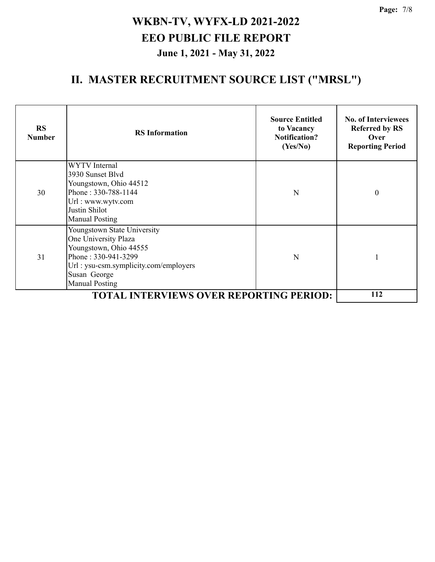| <b>RS</b><br><b>Number</b>                     | <b>RS</b> Information                                                                                                                                                                  | <b>Source Entitled</b><br>to Vacancy<br><b>Notification?</b><br>(Yes/No) | <b>No. of Interviewees</b><br><b>Referred by RS</b><br>Over<br><b>Reporting Period</b> |
|------------------------------------------------|----------------------------------------------------------------------------------------------------------------------------------------------------------------------------------------|--------------------------------------------------------------------------|----------------------------------------------------------------------------------------|
| 30                                             | <b>WYTV</b> Internal<br>3930 Sunset Blyd<br>Youngstown, Ohio 44512<br>Phone: 330-788-1144<br>Url: www.wytv.com<br>Justin Shilot<br><b>Manual Posting</b>                               | N                                                                        | $\theta$                                                                               |
| 31                                             | Youngstown State University<br>One University Plaza<br>Youngstown, Ohio 44555<br>Phone: 330-941-3299<br>Url: ysu-csm.symplicity.com/employers<br>Susan George<br><b>Manual Posting</b> | N                                                                        |                                                                                        |
| <b>TOTAL INTERVIEWS OVER REPORTING PERIOD:</b> |                                                                                                                                                                                        |                                                                          | 112                                                                                    |